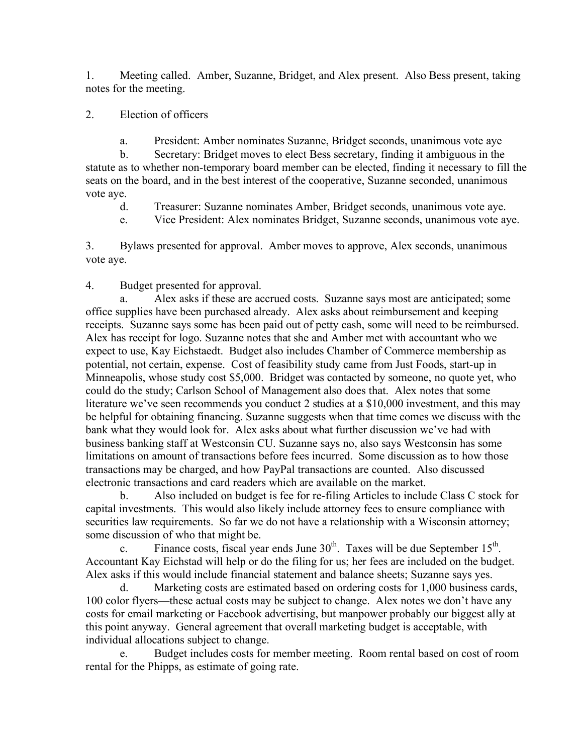1. Meeting called. Amber, Suzanne, Bridget, and Alex present. Also Bess present, taking notes for the meeting.

2. Election of officers

a. President: Amber nominates Suzanne, Bridget seconds, unanimous vote aye

b. Secretary: Bridget moves to elect Bess secretary, finding it ambiguous in the statute as to whether non-temporary board member can be elected, finding it necessary to fill the seats on the board, and in the best interest of the cooperative, Suzanne seconded, unanimous vote aye.

- d. Treasurer: Suzanne nominates Amber, Bridget seconds, unanimous vote aye.
- e. Vice President: Alex nominates Bridget, Suzanne seconds, unanimous vote aye.

3. Bylaws presented for approval. Amber moves to approve, Alex seconds, unanimous vote aye.

4. Budget presented for approval.

a. Alex asks if these are accrued costs. Suzanne says most are anticipated; some office supplies have been purchased already. Alex asks about reimbursement and keeping receipts. Suzanne says some has been paid out of petty cash, some will need to be reimbursed. Alex has receipt for logo. Suzanne notes that she and Amber met with accountant who we expect to use, Kay Eichstaedt. Budget also includes Chamber of Commerce membership as potential, not certain, expense. Cost of feasibility study came from Just Foods, start-up in Minneapolis, whose study cost \$5,000. Bridget was contacted by someone, no quote yet, who could do the study; Carlson School of Management also does that. Alex notes that some literature we've seen recommends you conduct 2 studies at a \$10,000 investment, and this may be helpful for obtaining financing. Suzanne suggests when that time comes we discuss with the bank what they would look for. Alex asks about what further discussion we've had with business banking staff at Westconsin CU. Suzanne says no, also says Westconsin has some limitations on amount of transactions before fees incurred. Some discussion as to how those transactions may be charged, and how PayPal transactions are counted. Also discussed electronic transactions and card readers which are available on the market.

b. Also included on budget is fee for re-filing Articles to include Class C stock for capital investments. This would also likely include attorney fees to ensure compliance with securities law requirements. So far we do not have a relationship with a Wisconsin attorney; some discussion of who that might be.

c. Finance costs, fiscal year ends June  $30<sup>th</sup>$ . Taxes will be due September  $15<sup>th</sup>$ . Accountant Kay Eichstad will help or do the filing for us; her fees are included on the budget. Alex asks if this would include financial statement and balance sheets; Suzanne says yes.

d. Marketing costs are estimated based on ordering costs for 1,000 business cards, 100 color flyers—these actual costs may be subject to change. Alex notes we don't have any costs for email marketing or Facebook advertising, but manpower probably our biggest ally at this point anyway. General agreement that overall marketing budget is acceptable, with individual allocations subject to change.

e. Budget includes costs for member meeting. Room rental based on cost of room rental for the Phipps, as estimate of going rate.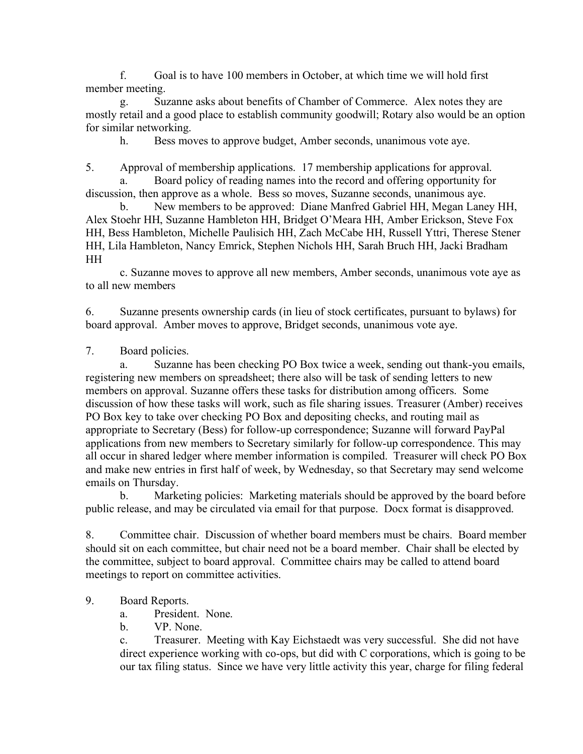f. Goal is to have 100 members in October, at which time we will hold first member meeting.

g. Suzanne asks about benefits of Chamber of Commerce. Alex notes they are mostly retail and a good place to establish community goodwill; Rotary also would be an option for similar networking.

h. Bess moves to approve budget, Amber seconds, unanimous vote aye.

5. Approval of membership applications. 17 membership applications for approval.

Board policy of reading names into the record and offering opportunity for discussion, then approve as a whole. Bess so moves, Suzanne seconds, unanimous aye.

b. New members to be approved: Diane Manfred Gabriel HH, Megan Laney HH, Alex Stoehr HH, Suzanne Hambleton HH, Bridget O'Meara HH, Amber Erickson, Steve Fox HH, Bess Hambleton, Michelle Paulisich HH, Zach McCabe HH, Russell Yttri, Therese Stener HH, Lila Hambleton, Nancy Emrick, Stephen Nichols HH, Sarah Bruch HH, Jacki Bradham HH

c. Suzanne moves to approve all new members, Amber seconds, unanimous vote aye as to all new members

6. Suzanne presents ownership cards (in lieu of stock certificates, pursuant to bylaws) for board approval. Amber moves to approve, Bridget seconds, unanimous vote aye.

7. Board policies.

a. Suzanne has been checking PO Box twice a week, sending out thank-you emails, registering new members on spreadsheet; there also will be task of sending letters to new members on approval. Suzanne offers these tasks for distribution among officers. Some discussion of how these tasks will work, such as file sharing issues. Treasurer (Amber) receives PO Box key to take over checking PO Box and depositing checks, and routing mail as appropriate to Secretary (Bess) for follow-up correspondence; Suzanne will forward PayPal applications from new members to Secretary similarly for follow-up correspondence. This may all occur in shared ledger where member information is compiled. Treasurer will check PO Box and make new entries in first half of week, by Wednesday, so that Secretary may send welcome emails on Thursday.

b. Marketing policies: Marketing materials should be approved by the board before public release, and may be circulated via email for that purpose. Docx format is disapproved.

8. Committee chair. Discussion of whether board members must be chairs. Board member should sit on each committee, but chair need not be a board member. Chair shall be elected by the committee, subject to board approval. Committee chairs may be called to attend board meetings to report on committee activities.

## 9. Board Reports.

a. President. None.

b. VP. None.

c. Treasurer. Meeting with Kay Eichstaedt was very successful. She did not have direct experience working with co-ops, but did with C corporations, which is going to be our tax filing status. Since we have very little activity this year, charge for filing federal